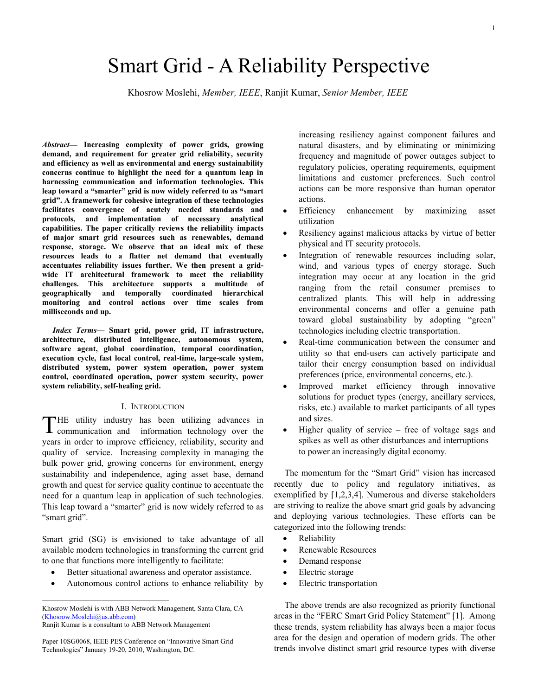# Smart Grid - A Reliability Perspective

Khosrow Moslehi, *Member, IEEE*, Ranjit Kumar, *Senior Member, IEEE*

*Abstract***— Increasing complexity of power grids, growing demand, and requirement for greater grid reliability, security and efficiency as well as environmental and energy sustainability concerns continue to highlight the need for a quantum leap in harnessing communication and information technologies. This leap toward a "smarter" grid is now widely referred to as "smart grid". A framework for cohesive integration of these technologies facilitates convergence of acutely needed standards and protocols, and implementation of necessary analytical capabilities. The paper critically reviews the reliability impacts of major smart grid resources such as renewables, demand response, storage. We observe that an ideal mix of these resources leads to a flatter net demand that eventually accentuates reliability issues further. We then present a gridwide IT architectural framework to meet the reliability challenges. This architecture supports a multitude of geographically and temporally coordinated hierarchical monitoring and control actions over time scales from milliseconds and up.** 

*Index Terms***— Smart grid, power grid, IT infrastructure, architecture, distributed intelligence, autonomous system, software agent, global coordination, temporal coordination, execution cycle, fast local control, real-time, large-scale system, distributed system, power system operation, power system control, coordinated operation, power system security, power system reliability, self-healing grid.** 

# I. INTRODUCTION

THE utility industry has been utilizing advances in THE utility industry has been utilizing advances in communication and information technology over the years in order to improve efficiency, reliability, security and quality of service. Increasing complexity in managing the bulk power grid, growing concerns for environment, energy sustainability and independence, aging asset base, demand growth and quest for service quality continue to accentuate the need for a quantum leap in application of such technologies. This leap toward a "smarter" grid is now widely referred to as "smart grid".

Smart grid (SG) is envisioned to take advantage of all available modern technologies in transforming the current grid to one that functions more intelligently to facilitate:

- Better situational awareness and operator assistance.
- Autonomous control actions to enhance reliability by

Ranjit Kumar is a consultant to ABB Network Management

-

increasing resiliency against component failures and natural disasters, and by eliminating or minimizing frequency and magnitude of power outages subject to regulatory policies, operating requirements, equipment limitations and customer preferences. Such control actions can be more responsive than human operator actions.

- Efficiency enhancement by maximizing asset utilization
- Resiliency against malicious attacks by virtue of better physical and IT security protocols.
- Integration of renewable resources including solar, wind, and various types of energy storage. Such integration may occur at any location in the grid ranging from the retail consumer premises to centralized plants. This will help in addressing environmental concerns and offer a genuine path toward global sustainability by adopting "green" technologies including electric transportation.
- Real-time communication between the consumer and utility so that end-users can actively participate and tailor their energy consumption based on individual preferences (price, environmental concerns, etc.).
- Improved market efficiency through innovative solutions for product types (energy, ancillary services, risks, etc.) available to market participants of all types and sizes.
- Higher quality of service free of voltage sags and spikes as well as other disturbances and interruptions – to power an increasingly digital economy.

The momentum for the "Smart Grid" vision has increased recently due to policy and regulatory initiatives, as exemplified by [1,2,3,4]. Numerous and diverse stakeholders are striving to realize the above smart grid goals by advancing and deploying various technologies. These efforts can be categorized into the following trends:

- Reliability
- Renewable Resources
- Demand response
- Electric storage
- Electric transportation

The above trends are also recognized as priority functional areas in the "FERC Smart Grid Policy Statement" [1]. Among these trends, system reliability has always been a major focus area for the design and operation of modern grids. The other trends involve distinct smart grid resource types with diverse

Khosrow Moslehi is with ABB Network Management, Santa Clara, CA (Khosrow.Moslehi@us.abb.com)

Paper 10SG0068, IEEE PES Conference on "Innovative Smart Grid Technologies" January 19-20, 2010, Washington, DC.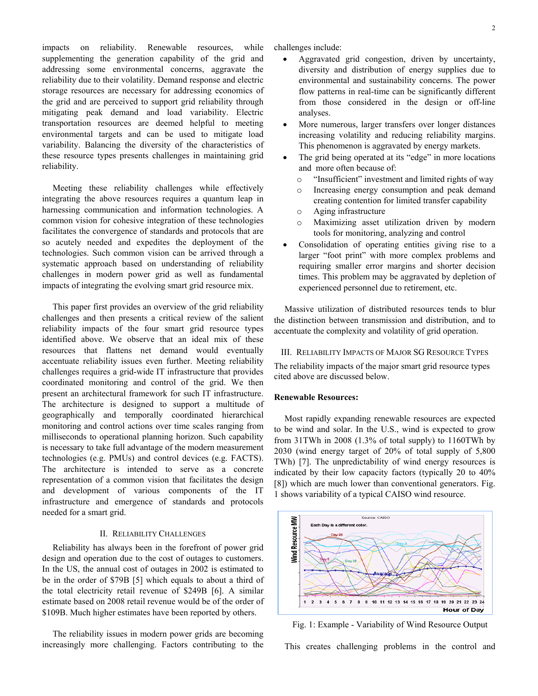impacts on reliability. Renewable resources, while supplementing the generation capability of the grid and addressing some environmental concerns, aggravate the reliability due to their volatility. Demand response and electric storage resources are necessary for addressing economics of the grid and are perceived to support grid reliability through mitigating peak demand and load variability. Electric transportation resources are deemed helpful to meeting environmental targets and can be used to mitigate load variability. Balancing the diversity of the characteristics of these resource types presents challenges in maintaining grid reliability.

Meeting these reliability challenges while effectively integrating the above resources requires a quantum leap in harnessing communication and information technologies. A common vision for cohesive integration of these technologies facilitates the convergence of standards and protocols that are so acutely needed and expedites the deployment of the technologies. Such common vision can be arrived through a systematic approach based on understanding of reliability challenges in modern power grid as well as fundamental impacts of integrating the evolving smart grid resource mix.

This paper first provides an overview of the grid reliability challenges and then presents a critical review of the salient reliability impacts of the four smart grid resource types identified above. We observe that an ideal mix of these resources that flattens net demand would eventually accentuate reliability issues even further. Meeting reliability challenges requires a grid-wide IT infrastructure that provides coordinated monitoring and control of the grid. We then present an architectural framework for such IT infrastructure. The architecture is designed to support a multitude of geographically and temporally coordinated hierarchical monitoring and control actions over time scales ranging from milliseconds to operational planning horizon. Such capability is necessary to take full advantage of the modern measurement technologies (e.g. PMUs) and control devices (e.g. FACTS). The architecture is intended to serve as a concrete representation of a common vision that facilitates the design and development of various components of the IT infrastructure and emergence of standards and protocols needed for a smart grid.

#### II. RELIABILITY CHALLENGES

Reliability has always been in the forefront of power grid design and operation due to the cost of outages to customers. In the US, the annual cost of outages in 2002 is estimated to be in the order of \$79B [5] which equals to about a third of the total electricity retail revenue of \$249B [6]. A similar estimate based on 2008 retail revenue would be of the order of \$109B. Much higher estimates have been reported by others.

The reliability issues in modern power grids are becoming increasingly more challenging. Factors contributing to the

challenges include:

- Aggravated grid congestion, driven by uncertainty, diversity and distribution of energy supplies due to environmental and sustainability concerns. The power flow patterns in real-time can be significantly different from those considered in the design or off-line analyses.
- More numerous, larger transfers over longer distances increasing volatility and reducing reliability margins. This phenomenon is aggravated by energy markets.
- The grid being operated at its "edge" in more locations and more often because of:
	- o "Insufficient" investment and limited rights of way
	- o Increasing energy consumption and peak demand creating contention for limited transfer capability
	- o Aging infrastructure
	- o Maximizing asset utilization driven by modern tools for monitoring, analyzing and control
- Consolidation of operating entities giving rise to a larger "foot print" with more complex problems and requiring smaller error margins and shorter decision times. This problem may be aggravated by depletion of experienced personnel due to retirement, etc.

Massive utilization of distributed resources tends to blur the distinction between transmission and distribution, and to accentuate the complexity and volatility of grid operation.

#### III. RELIABILITY IMPACTS OF MAJOR SG RESOURCE TYPES

The reliability impacts of the major smart grid resource types cited above are discussed below.

## **Renewable Resources:**

Most rapidly expanding renewable resources are expected to be wind and solar. In the U.S., wind is expected to grow from 31TWh in 2008 (1.3% of total supply) to 1160TWh by 2030 (wind energy target of 20% of total supply of 5,800 TWh) [7]. The unpredictability of wind energy resources is indicated by their low capacity factors (typically 20 to 40% [8]) which are much lower than conventional generators. Fig. 1 shows variability of a typical CAISO wind resource.



Fig. 1: Example - Variability of Wind Resource Output

This creates challenging problems in the control and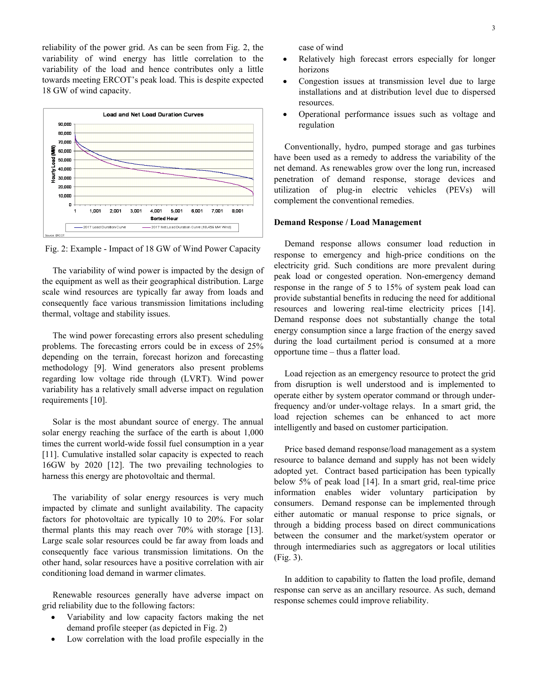reliability of the power grid. As can be seen from Fig. 2, the variability of wind energy has little correlation to the variability of the load and hence contributes only a little towards meeting ERCOT's peak load. This is despite expected 18 GW of wind capacity.



Fig. 2: Example - Impact of 18 GW of Wind Power Capacity

The variability of wind power is impacted by the design of the equipment as well as their geographical distribution. Large scale wind resources are typically far away from loads and consequently face various transmission limitations including thermal, voltage and stability issues.

The wind power forecasting errors also present scheduling problems. The forecasting errors could be in excess of 25% depending on the terrain, forecast horizon and forecasting methodology [9]. Wind generators also present problems regarding low voltage ride through (LVRT). Wind power variability has a relatively small adverse impact on regulation requirements [10].

Solar is the most abundant source of energy. The annual solar energy reaching the surface of the earth is about 1,000 times the current world-wide fossil fuel consumption in a year [11]. Cumulative installed solar capacity is expected to reach 16GW by 2020 [12]. The two prevailing technologies to harness this energy are photovoltaic and thermal.

The variability of solar energy resources is very much impacted by climate and sunlight availability. The capacity factors for photovoltaic are typically 10 to 20%. For solar thermal plants this may reach over 70% with storage [13]. Large scale solar resources could be far away from loads and consequently face various transmission limitations. On the other hand, solar resources have a positive correlation with air conditioning load demand in warmer climates.

Renewable resources generally have adverse impact on grid reliability due to the following factors:

- Variability and low capacity factors making the net demand profile steeper (as depicted in Fig. 2)
- Low correlation with the load profile especially in the

case of wind

- Relatively high forecast errors especially for longer horizons
- Congestion issues at transmission level due to large installations and at distribution level due to dispersed resources.
- Operational performance issues such as voltage and regulation

Conventionally, hydro, pumped storage and gas turbines have been used as a remedy to address the variability of the net demand. As renewables grow over the long run, increased penetration of demand response, storage devices and utilization of plug-in electric vehicles (PEVs) will complement the conventional remedies.

#### **Demand Response / Load Management**

Demand response allows consumer load reduction in response to emergency and high-price conditions on the electricity grid. Such conditions are more prevalent during peak load or congested operation. Non-emergency demand response in the range of 5 to 15% of system peak load can provide substantial benefits in reducing the need for additional resources and lowering real-time electricity prices [14]. Demand response does not substantially change the total energy consumption since a large fraction of the energy saved during the load curtailment period is consumed at a more opportune time – thus a flatter load.

Load rejection as an emergency resource to protect the grid from disruption is well understood and is implemented to operate either by system operator command or through underfrequency and/or under-voltage relays. In a smart grid, the load rejection schemes can be enhanced to act more intelligently and based on customer participation.

Price based demand response/load management as a system resource to balance demand and supply has not been widely adopted yet. Contract based participation has been typically below 5% of peak load [14]. In a smart grid, real-time price information enables wider voluntary participation by consumers. Demand response can be implemented through either automatic or manual response to price signals, or through a bidding process based on direct communications between the consumer and the market/system operator or through intermediaries such as aggregators or local utilities (Fig. 3).

In addition to capability to flatten the load profile, demand response can serve as an ancillary resource. As such, demand response schemes could improve reliability.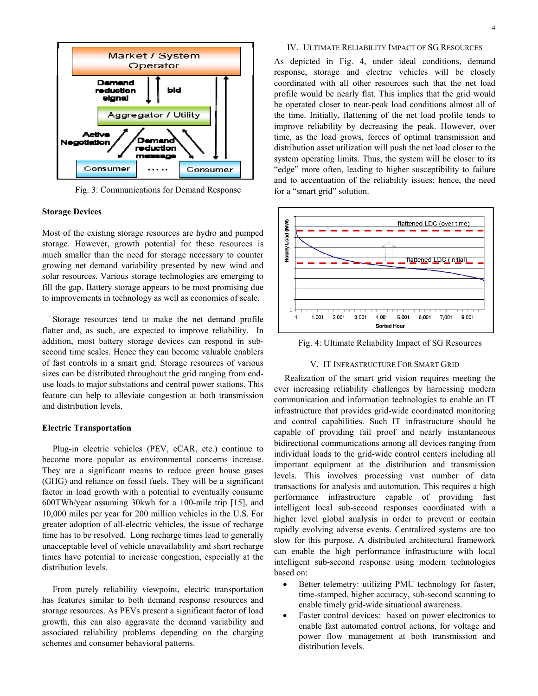

Fig. 3: Communications for Demand Response

## **Storage Devices**

Most of the existing storage resources are hydro and pumped storage. However, growth potential for these resources is much smaller than the need for storage necessary to counter growing net demand variability presented by new wind and solar resources. Various storage technologies are emerging to fill the gap. Battery storage appears to be most promising due to improvements in technology as well as economies of scale.

Storage resources tend to make the net demand profile flatter and, as such, are expected to improve reliability. In addition, most battery storage devices can respond in subsecond time scales. Hence they can become valuable enablers of fast controls in a smart grid. Storage resources of various sizes can be distributed throughout the grid ranging from enduse loads to major substations and central power stations. This feature can help to alleviate congestion at both transmission and distribution levels.

## **Electric Transportation**

Plug-in electric vehicles (PEV, eCAR, etc.) continue to become more popular as environmental concerns increase. They are a significant means to reduce green house gases (GHG) and reliance on fossil fuels. They will be a significant factor in load growth with a potential to eventually consume 600TWh/year assuming 30kwh for a 100-mile trip [15], and 10,000 miles per year for 200 million vehicles in the U.S. For greater adoption of all-electric vehicles, the issue of recharge time has to be resolved. Long recharge times lead to generally unacceptable level of vehicle unavailability and short recharge times have potential to increase congestion, especially at the distribution levels.

From purely reliability viewpoint, electric transportation has features similar to both demand response resources and storage resources. As PEVs present a significant factor of load growth, this can also aggravate the demand variability and associated reliability problems depending on the charging schemes and consumer behavioral patterns.

## IV. ULTIMATE RELIABILITY IMPACT OF SG RESOURCES

As depicted in Fig. 4, under ideal conditions, demand response, storage and electric vehicles will be closely coordinated with all other resources such that the net load profile would be nearly flat. This implies that the grid would be operated closer to near-peak load conditions almost all of the time. Initially, flattening of the net load profile tends to improve reliability by decreasing the peak. However, over time, as the load grows, forces of optimal transmission and distribution asset utilization will push the net load closer to the system operating limits. Thus, the system will be closer to its "edge" more often, leading to higher susceptibility to failure and to accentuation of the reliability issues; hence, the need for a "smart grid" solution.



Fig. 4: Ultimate Reliability Impact of SG Resources

#### V. IT INFRASTRUCTURE FOR SMART GRID

Realization of the smart grid vision requires meeting the ever increasing reliability challenges by harnessing modern communication and information technologies to enable an IT infrastructure that provides grid-wide coordinated monitoring and control capabilities. Such IT infrastructure should be capable of providing fail proof and nearly instantaneous bidirectional communications among all devices ranging from individual loads to the grid-wide control centers including all important equipment at the distribution and transmission levels. This involves processing vast number of data transactions for analysis and automation. This requires a high performance infrastructure capable of providing fast intelligent local sub-second responses coordinated with a higher level global analysis in order to prevent or contain rapidly evolving adverse events. Centralized systems are too slow for this purpose. A distributed architectural framework can enable the high performance infrastructure with local intelligent sub-second response using modern technologies based on:

- Better telemetry: utilizing PMU technology for faster, time-stamped, higher accuracy, sub-second scanning to enable timely grid-wide situational awareness.
- Faster control devices: based on power electronics to enable fast automated control actions, for voltage and power flow management at both transmission and distribution levels.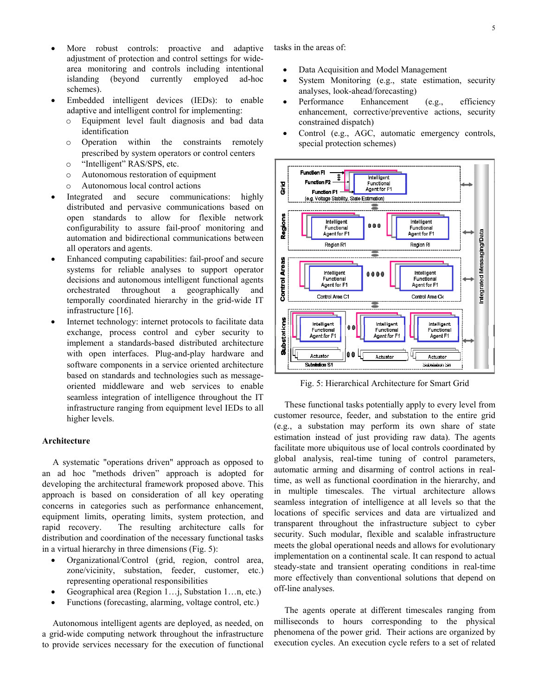- More robust controls: proactive and adaptive adjustment of protection and control settings for widearea monitoring and controls including intentional islanding (beyond currently employed ad-hoc schemes).
- Embedded intelligent devices (IEDs): to enable adaptive and intelligent control for implementing:
	- o Equipment level fault diagnosis and bad data identification
	- o Operation within the constraints remotely prescribed by system operators or control centers
	- o "Intelligent" RAS/SPS, etc.
	- o Autonomous restoration of equipment
	- o Autonomous local control actions
- Integrated and secure communications: highly distributed and pervasive communications based on open standards to allow for flexible network configurability to assure fail-proof monitoring and automation and bidirectional communications between all operators and agents.
- Enhanced computing capabilities: fail-proof and secure systems for reliable analyses to support operator decisions and autonomous intelligent functional agents orchestrated throughout a geographically and temporally coordinated hierarchy in the grid-wide IT infrastructure [16].
- Internet technology: internet protocols to facilitate data exchange, process control and cyber security to implement a standards-based distributed architecture with open interfaces. Plug-and-play hardware and software components in a service oriented architecture based on standards and technologies such as messageoriented middleware and web services to enable seamless integration of intelligence throughout the IT infrastructure ranging from equipment level IEDs to all higher levels.

# **Architecture**

A systematic "operations driven" approach as opposed to an ad hoc "methods driven" approach is adopted for developing the architectural framework proposed above. This approach is based on consideration of all key operating concerns in categories such as performance enhancement, equipment limits, operating limits, system protection, and rapid recovery. The resulting architecture calls for distribution and coordination of the necessary functional tasks in a virtual hierarchy in three dimensions (Fig. 5):

- Organizational/Control (grid, region, control area, zone/vicinity, substation, feeder, customer, etc.) representing operational responsibilities
- Geographical area (Region 1…j, Substation 1…n, etc.)
- Functions (forecasting, alarming, voltage control, etc.)

Autonomous intelligent agents are deployed, as needed, on a grid-wide computing network throughout the infrastructure to provide services necessary for the execution of functional tasks in the areas of:

- Data Acquisition and Model Management
- System Monitoring (e.g., state estimation, security analyses, look-ahead/forecasting)
- Performance Enhancement (e.g., efficiency enhancement, corrective/preventive actions, security constrained dispatch)
- Control (e.g., AGC, automatic emergency controls, special protection schemes)



Fig. 5: Hierarchical Architecture for Smart Grid

These functional tasks potentially apply to every level from customer resource, feeder, and substation to the entire grid (e.g., a substation may perform its own share of state estimation instead of just providing raw data). The agents facilitate more ubiquitous use of local controls coordinated by global analysis, real-time tuning of control parameters, automatic arming and disarming of control actions in realtime, as well as functional coordination in the hierarchy, and in multiple timescales. The virtual architecture allows seamless integration of intelligence at all levels so that the locations of specific services and data are virtualized and transparent throughout the infrastructure subject to cyber security. Such modular, flexible and scalable infrastructure meets the global operational needs and allows for evolutionary implementation on a continental scale. It can respond to actual steady-state and transient operating conditions in real-time more effectively than conventional solutions that depend on off-line analyses.

The agents operate at different timescales ranging from milliseconds to hours corresponding to the physical phenomena of the power grid. Their actions are organized by execution cycles. An execution cycle refers to a set of related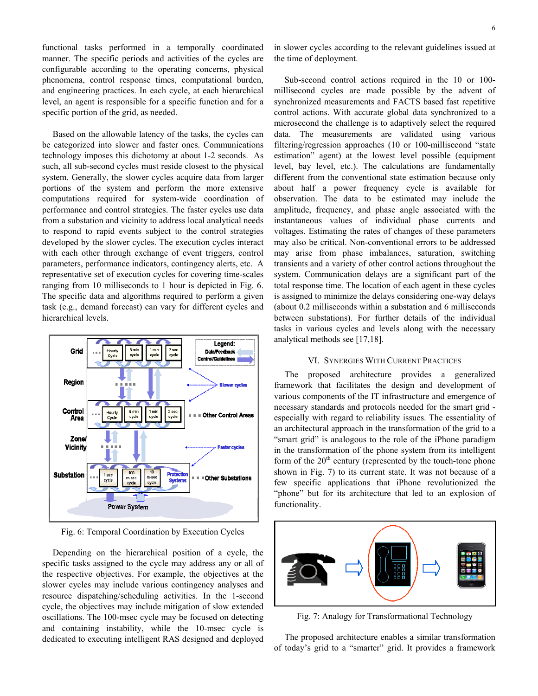functional tasks performed in a temporally coordinated manner. The specific periods and activities of the cycles are configurable according to the operating concerns, physical phenomena, control response times, computational burden, and engineering practices. In each cycle, at each hierarchical level, an agent is responsible for a specific function and for a specific portion of the grid, as needed.

Based on the allowable latency of the tasks, the cycles can be categorized into slower and faster ones. Communications technology imposes this dichotomy at about 1-2 seconds. As such, all sub-second cycles must reside closest to the physical system. Generally, the slower cycles acquire data from larger portions of the system and perform the more extensive computations required for system-wide coordination of performance and control strategies. The faster cycles use data from a substation and vicinity to address local analytical needs to respond to rapid events subject to the control strategies developed by the slower cycles. The execution cycles interact with each other through exchange of event triggers, control parameters, performance indicators, contingency alerts, etc. A representative set of execution cycles for covering time-scales ranging from 10 milliseconds to 1 hour is depicted in Fig. 6. The specific data and algorithms required to perform a given task (e.g., demand forecast) can vary for different cycles and hierarchical levels.



Fig. 6: Temporal Coordination by Execution Cycles

Depending on the hierarchical position of a cycle, the specific tasks assigned to the cycle may address any or all of the respective objectives. For example, the objectives at the slower cycles may include various contingency analyses and resource dispatching/scheduling activities. In the 1-second cycle, the objectives may include mitigation of slow extended oscillations. The 100-msec cycle may be focused on detecting and containing instability, while the 10-msec cycle is dedicated to executing intelligent RAS designed and deployed in slower cycles according to the relevant guidelines issued at the time of deployment.

Sub-second control actions required in the 10 or 100 millisecond cycles are made possible by the advent of synchronized measurements and FACTS based fast repetitive control actions. With accurate global data synchronized to a microsecond the challenge is to adaptively select the required data. The measurements are validated using various filtering/regression approaches (10 or 100-millisecond "state estimation" agent) at the lowest level possible (equipment level, bay level, etc.). The calculations are fundamentally different from the conventional state estimation because only about half a power frequency cycle is available for observation. The data to be estimated may include the amplitude, frequency, and phase angle associated with the instantaneous values of individual phase currents and voltages. Estimating the rates of changes of these parameters may also be critical. Non-conventional errors to be addressed may arise from phase imbalances, saturation, switching transients and a variety of other control actions throughout the system. Communication delays are a significant part of the total response time. The location of each agent in these cycles is assigned to minimize the delays considering one-way delays (about 0.2 milliseconds within a substation and 6 milliseconds between substations). For further details of the individual tasks in various cycles and levels along with the necessary analytical methods see [17,18].

#### VI. SYNERGIES WITH CURRENT PRACTICES

The proposed architecture provides a generalized framework that facilitates the design and development of various components of the IT infrastructure and emergence of necessary standards and protocols needed for the smart grid especially with regard to reliability issues. The essentiality of an architectural approach in the transformation of the grid to a "smart grid" is analogous to the role of the iPhone paradigm in the transformation of the phone system from its intelligent form of the  $20<sup>th</sup>$  century (represented by the touch-tone phone shown in Fig. 7) to its current state. It was not because of a few specific applications that iPhone revolutionized the "phone" but for its architecture that led to an explosion of functionality.



Fig. 7: Analogy for Transformational Technology

The proposed architecture enables a similar transformation of today's grid to a "smarter" grid. It provides a framework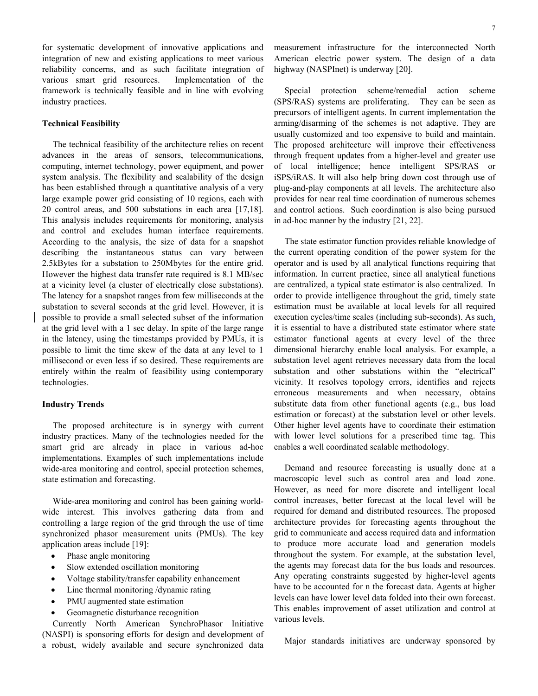for systematic development of innovative applications and integration of new and existing applications to meet various reliability concerns, and as such facilitate integration of various smart grid resources. Implementation of the framework is technically feasible and in line with evolving industry practices.

## **Technical Feasibility**

The technical feasibility of the architecture relies on recent advances in the areas of sensors, telecommunications, computing, internet technology, power equipment, and power system analysis. The flexibility and scalability of the design has been established through a quantitative analysis of a very large example power grid consisting of 10 regions, each with 20 control areas, and 500 substations in each area [17,18]. This analysis includes requirements for monitoring, analysis and control and excludes human interface requirements. According to the analysis, the size of data for a snapshot describing the instantaneous status can vary between 2.5kBytes for a substation to 250Mbytes for the entire grid. However the highest data transfer rate required is 8.1 MB/sec at a vicinity level (a cluster of electrically close substations). The latency for a snapshot ranges from few milliseconds at the substation to several seconds at the grid level. However, it is possible to provide a small selected subset of the information at the grid level with a 1 sec delay. In spite of the large range in the latency, using the timestamps provided by PMUs, it is possible to limit the time skew of the data at any level to 1 millisecond or even less if so desired. These requirements are entirely within the realm of feasibility using contemporary technologies.

## **Industry Trends**

The proposed architecture is in synergy with current industry practices. Many of the technologies needed for the smart grid are already in place in various ad-hoc implementations. Examples of such implementations include wide-area monitoring and control, special protection schemes, state estimation and forecasting.

Wide-area monitoring and control has been gaining worldwide interest. This involves gathering data from and controlling a large region of the grid through the use of time synchronized phasor measurement units (PMUs). The key application areas include [19]:

- Phase angle monitoring
- Slow extended oscillation monitoring
- Voltage stability/transfer capability enhancement
- Line thermal monitoring /dynamic rating
- PMU augmented state estimation
- Geomagnetic disturbance recognition

Currently North American SynchroPhasor Initiative (NASPI) is sponsoring efforts for design and development of a robust, widely available and secure synchronized data measurement infrastructure for the interconnected North American electric power system. The design of a data highway (NASPInet) is underway [20].

Special protection scheme/remedial action scheme (SPS/RAS) systems are proliferating. They can be seen as precursors of intelligent agents. In current implementation the arming/disarming of the schemes is not adaptive. They are usually customized and too expensive to build and maintain. The proposed architecture will improve their effectiveness through frequent updates from a higher-level and greater use of local intelligence; hence intelligent SPS/RAS or iSPS/iRAS. It will also help bring down cost through use of plug-and-play components at all levels. The architecture also provides for near real time coordination of numerous schemes and control actions. Such coordination is also being pursued in ad-hoc manner by the industry [21, 22].

The state estimator function provides reliable knowledge of the current operating condition of the power system for the operator and is used by all analytical functions requiring that information. In current practice, since all analytical functions are centralized, a typical state estimator is also centralized. In order to provide intelligence throughout the grid, timely state estimation must be available at local levels for all required execution cycles/time scales (including sub-seconds). As such, it is essential to have a distributed state estimator where state estimator functional agents at every level of the three dimensional hierarchy enable local analysis. For example, a substation level agent retrieves necessary data from the local substation and other substations within the "electrical" vicinity. It resolves topology errors, identifies and rejects erroneous measurements and when necessary, obtains substitute data from other functional agents (e.g., bus load estimation or forecast) at the substation level or other levels. Other higher level agents have to coordinate their estimation with lower level solutions for a prescribed time tag. This enables a well coordinated scalable methodology.

Demand and resource forecasting is usually done at a macroscopic level such as control area and load zone. However, as need for more discrete and intelligent local control increases, better forecast at the local level will be required for demand and distributed resources. The proposed architecture provides for forecasting agents throughout the grid to communicate and access required data and information to produce more accurate load and generation models throughout the system. For example, at the substation level, the agents may forecast data for the bus loads and resources. Any operating constraints suggested by higher-level agents have to be accounted for n the forecast data. Agents at higher levels can have lower level data folded into their own forecast. This enables improvement of asset utilization and control at various levels.

Major standards initiatives are underway sponsored by